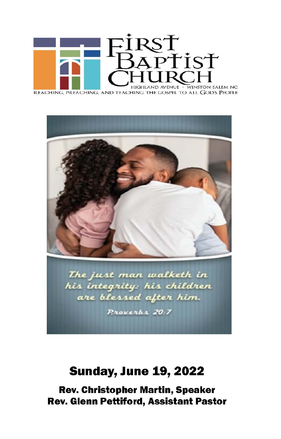



## **Sunday, June 19, 2022**

**Rev. Christopher Martin, Speaker Rev. Glenn Pettiford, Assistant Pastor**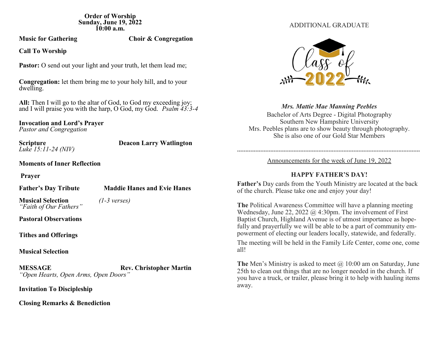**Order of Worship Sunday, June 19, 2022 10:00 a.m.**

**Music for Gathering Choir & Congregation** 

**Call To Worship**

**Pastor:** O send out your light and your truth, let them lead me;

**Congregation:** let them bring me to your holy hill, and to your dwelling.

**All:** Then I will go to the altar of God, to God my exceeding joy; and I will praise you with the harp, O God, my God. *Psalm 43:3-4* 

**Invocation and Lord's Prayer** *Pastor and Congregation*

*Luke 15:11-24 (NIV)*

**Scripture Deacon Larry Watlington** 

**Moments of Inner Reflection** 

**Prayer**

**Father's Day Tribute Maddie Hanes and Evie Hanes**

**Musical Selection** *(1-3 verses) "Faith of Our Fathers"*

**Pastoral Observations**

**Tithes and Offerings**

**Musical Selection**

**MESSAGE Rev. Christopher Martin** *"Open Hearts, Open Arms, Open Doors"*

**Invitation To Discipleship** 

**Closing Remarks & Benediction**

### ADDITIONAL GRADUATE



*Mrs. Mattie Mae Manning Peebles*

Bachelor of Arts Degree - Digital Photography Southern New Hampshire University Mrs. Peebles plans are to show beauty through photography. She is also one of our Gold Star Members

## \*\*\*\*\*\*\*\*\*\*\*\*\*\*\*\*\*\*\*\*\*\*\*\*\*\*\*\*\*\*\*\*\*\*\*\*\*\*\*\*\*\*\*\*\*\*\*\*\*\*\*\*\*\*\*\*\*\*\*\*\*\*\*\*\*\*\*\*\*\*\*\*\*\*\*\*\*\*\*\*\*\*\*\*\*\*\*\*\*\*\*\*\*\*\*\*\*\*\*\*\*\*\*\*\*\*\*\*\*\*

Announcements for the week of June 19, 2022

## **HAPPY FATHER'S DAY!**

**Father's** Day cards from the Youth Ministry are located at the back of the church. Please take one and enjoy your day!

**The** Political Awareness Committee will have a planning meeting Wednesday, June 22, 2022 @ 4:30pm. The involvement of First Baptist Church, Highland Avenue is of utmost importance as hopefully and prayerfully we will be able to be a part of community empowerment of electing our leaders locally, statewide, and federally.

The meeting will be held in the Family Life Center, come one, come all!

The Men's Ministry is asked to meet @ 10:00 am on Saturday, June 25th to clean out things that are no longer needed in the church. If you have a truck, or trailer, please bring it to help with hauling items away.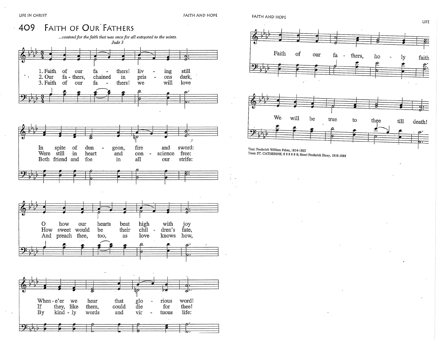$\sim$ 

 $\sim$ 

FAITH AND HOPE





LIFE

Tune: ST. CATHERINE, 8 8 8 8 8 8; Henri Frederick Hemy, 1818-1888